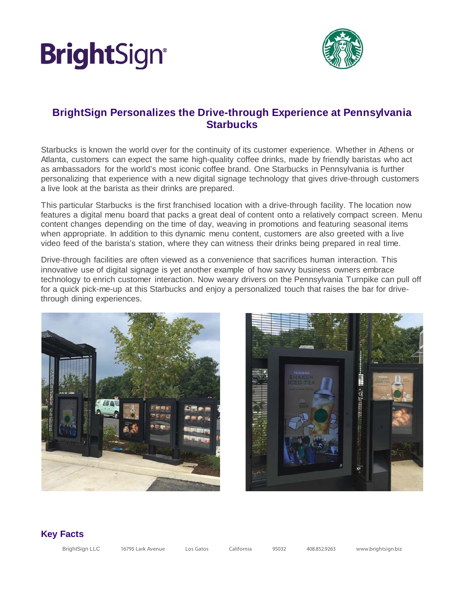## **BrightSign®**



### **BrightSign Personalizes the Drive-through Experience at Pennsylvania Starbucks**

Starbucks is known the world over for the continuity of its customer experience. Whether in Athens or Atlanta, customers can expect the same high-quality coffee drinks, made by friendly baristas who act as ambassadors for the world's most iconic coffee brand. One Starbucks in Pennsylvania is further personalizing that experience with a new digital signage technology that gives drive-through customers a live look at the barista as their drinks are prepared.

This particular Starbucks is the first franchised location with a drive-through facility. The location now features a digital menu board that packs a great deal of content onto a relatively compact screen. Menu content changes depending on the time of day, weaving in promotions and featuring seasonal items when appropriate. In addition to this dynamic menu content, customers are also greeted with a live video feed of the barista's station, where they can witness their drinks being prepared in real time.

Drive-through facilities are often viewed as a convenience that sacrifices human interaction. This innovative use of digital signage is yet another example of how savvy business owners embrace technology to enrich customer interaction. Now weary drivers on the Pennsylvania Turnpike can pull off for a quick pick-me-up at this Starbucks and enjoy a personalized touch that raises the bar for drivethrough dining experiences.





#### **Key Facts**

| <b>BrightSign LLC</b> | 16795 Lark Avenue | Los Gatos | California | 95032 | 408.852.9263 | www.brightsign.biz |
|-----------------------|-------------------|-----------|------------|-------|--------------|--------------------|
|                       |                   |           |            |       |              |                    |